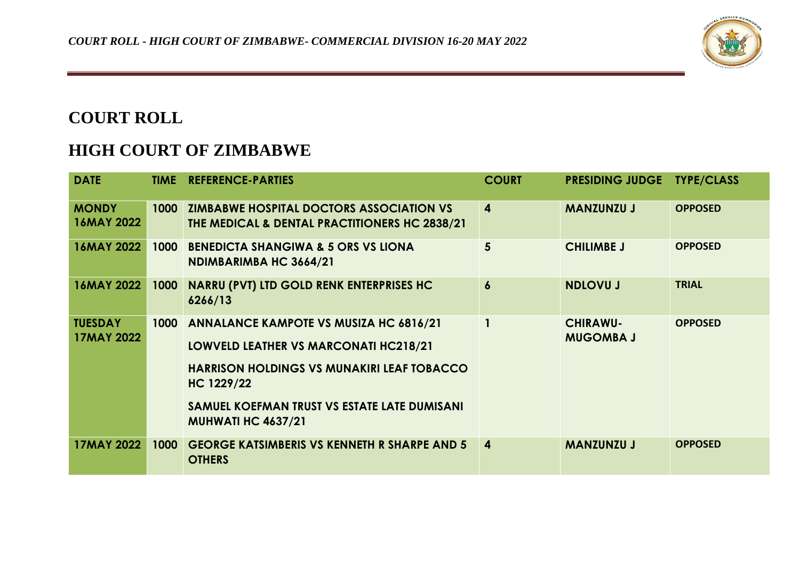

## **COURT ROLL**

## **HIGH COURT OF ZIMBABWE**

| <b>DATE</b>                         |      | <b>TIME REFERENCE-PARTIES</b>                                                                                                                                                                                                                 | <b>COURT</b>            | <b>PRESIDING JUDGE</b>              | <b>TYPE/CLASS</b> |
|-------------------------------------|------|-----------------------------------------------------------------------------------------------------------------------------------------------------------------------------------------------------------------------------------------------|-------------------------|-------------------------------------|-------------------|
| <b>MONDY</b><br><b>16MAY 2022</b>   | 1000 | <b>ZIMBABWE HOSPITAL DOCTORS ASSOCIATION VS</b><br>THE MEDICAL & DENTAL PRACTITIONERS HC 2838/21                                                                                                                                              | $\boldsymbol{4}$        | <b>MANZUNZU J</b>                   | <b>OPPOSED</b>    |
| <b>16MAY 2022</b>                   | 1000 | <b>BENEDICTA SHANGIWA &amp; 5 ORS VS LIONA</b><br>NDIMBARIMBA HC 3664/21                                                                                                                                                                      | $5\overline{5}$         | <b>CHILIMBE J</b>                   | <b>OPPOSED</b>    |
| 16MAY 2022                          | 1000 | <b>NARRU (PVT) LTD GOLD RENK ENTERPRISES HC</b><br>6266/13                                                                                                                                                                                    | $\boldsymbol{6}$        | <b>NDLOVU J</b>                     | <b>TRIAL</b>      |
| <b>TUESDAY</b><br><b>17MAY 2022</b> | 1000 | <b>ANNALANCE KAMPOTE VS MUSIZA HC 6816/21</b><br><b>LOWVELD LEATHER VS MARCONATI HC218/21</b><br><b>HARRISON HOLDINGS VS MUNAKIRI LEAF TOBACCO</b><br>HC 1229/22<br>SAMUEL KOEFMAN TRUST VS ESTATE LATE DUMISANI<br><b>MUHWATI HC 4637/21</b> |                         | <b>CHIRAWU-</b><br><b>MUGOMBA J</b> | <b>OPPOSED</b>    |
| <b>17MAY 2022</b>                   | 1000 | <b>GEORGE KATSIMBERIS VS KENNETH R SHARPE AND 5</b><br><b>OTHERS</b>                                                                                                                                                                          | $\overline{\mathbf{4}}$ | <b>MANZUNZU J</b>                   | <b>OPPOSED</b>    |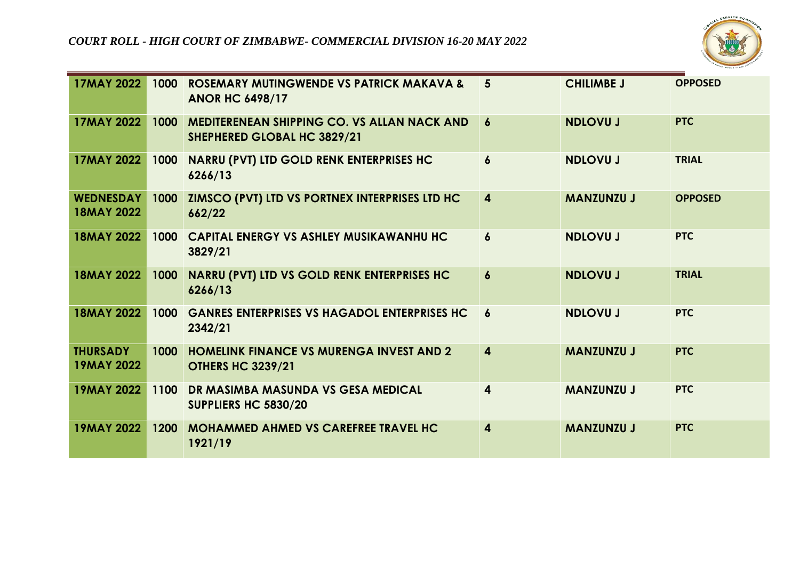

| <b>17MAY 2022</b>                     | 1000 | <b>ROSEMARY MUTINGWENDE VS PATRICK MAKAVA &amp;</b><br><b>ANOR HC 6498/17</b>     | $5\overline{5}$         | <b>CHILIMBE J</b> | <b>OPPOSED</b> |
|---------------------------------------|------|-----------------------------------------------------------------------------------|-------------------------|-------------------|----------------|
| <b>17MAY 2022</b>                     | 1000 | <b>MEDITERENEAN SHIPPING CO. VS ALLAN NACK AND</b><br>SHEPHERED GLOBAL HC 3829/21 | $\boldsymbol{6}$        | <b>NDLOVU J</b>   | <b>PTC</b>     |
| <b>17MAY 2022</b>                     | 1000 | <b>NARRU (PVT) LTD GOLD RENK ENTERPRISES HC</b><br>6266/13                        | $\boldsymbol{6}$        | <b>NDLOVU J</b>   | <b>TRIAL</b>   |
| <b>WEDNESDAY</b><br><b>18MAY 2022</b> | 1000 | ZIMSCO (PVT) LTD VS PORTNEX INTERPRISES LTD HC<br>662/22                          | $\overline{4}$          | <b>MANZUNZU J</b> | <b>OPPOSED</b> |
| <b>18MAY 2022</b>                     | 1000 | <b>CAPITAL ENERGY VS ASHLEY MUSIKAWANHU HC</b><br>3829/21                         | $\boldsymbol{6}$        | <b>NDLOVU J</b>   | <b>PTC</b>     |
| <b>18MAY 2022</b>                     | 1000 | <b>NARRU (PVT) LTD VS GOLD RENK ENTERPRISES HC</b><br>6266/13                     | $\boldsymbol{6}$        | <b>NDLOVU J</b>   | <b>TRIAL</b>   |
| <b>18MAY 2022</b>                     | 1000 | <b>GANRES ENTERPRISES VS HAGADOL ENTERPRISES HC</b><br>2342/21                    | $\boldsymbol{6}$        | <b>NDLOVU J</b>   | <b>PTC</b>     |
| <b>THURSADY</b><br><b>19MAY 2022</b>  | 1000 | <b>HOMELINK FINANCE VS MURENGA INVEST AND 2</b><br><b>OTHERS HC 3239/21</b>       | $\overline{\mathbf{4}}$ | <b>MANZUNZU J</b> | <b>PTC</b>     |
| <b>19MAY 2022</b>                     | 1100 | DR MASIMBA MASUNDA VS GESA MEDICAL<br>SUPPLIERS HC 5830/20                        | 4                       | <b>MANZUNZU J</b> | <b>PTC</b>     |
| <b>19MAY 2022</b>                     | 1200 | <b>MOHAMMED AHMED VS CAREFREE TRAVEL HC</b><br>1921/19                            | $\boldsymbol{4}$        | <b>MANZUNZU J</b> | <b>PTC</b>     |